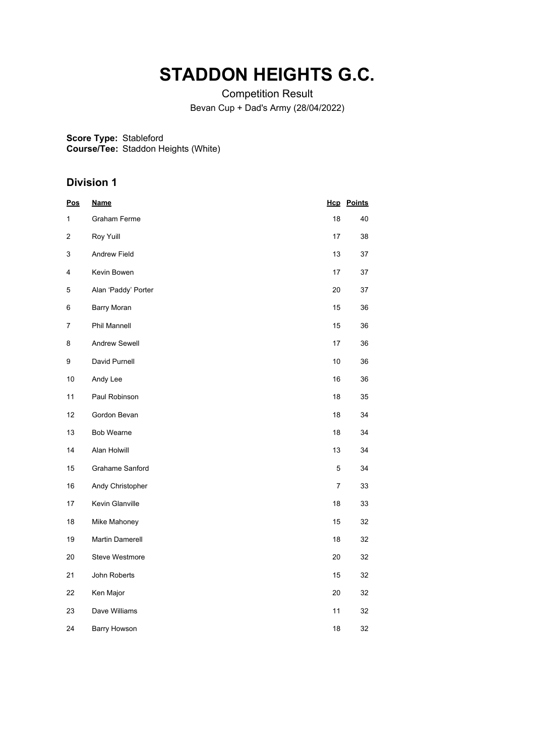# **STADDON HEIGHTS G.C.**

Competition Result Bevan Cup + Dad's Army (28/04/2022)

**Score Type:** Stableford

**Course/Tee:** Staddon Heights (White)

| <u>Pos</u>     | <b>Name</b>            |                | <b>Hcp</b> Points |
|----------------|------------------------|----------------|-------------------|
| 1              | <b>Graham Ferme</b>    | 18             | 40                |
| 2              | Roy Yuill              | 17             | 38                |
| 3              | <b>Andrew Field</b>    | 13             | 37                |
| 4              | Kevin Bowen            | 17             | 37                |
| 5              | Alan 'Paddy' Porter    | 20             | 37                |
| 6              | <b>Barry Moran</b>     | 15             | 36                |
| $\overline{7}$ | Phil Mannell           | 15             | 36                |
| 8              | Andrew Sewell          | 17             | 36                |
| 9              | David Purnell          | $10$           | 36                |
| 10             | Andy Lee               | 16             | 36                |
| 11             | Paul Robinson          | 18             | 35                |
| 12             | Gordon Bevan           | 18             | 34                |
| 13             | <b>Bob Wearne</b>      | 18             | 34                |
| 14             | Alan Holwill           | 13             | 34                |
| 15             | <b>Grahame Sanford</b> | 5              | 34                |
| 16             | Andy Christopher       | $\overline{7}$ | 33                |
| 17             | Kevin Glanville        | 18             | 33                |
| 18             | Mike Mahoney           | 15             | 32                |
| 19             | Martin Damerell        | 18             | 32                |
| 20             | Steve Westmore         | 20             | 32                |
| 21             | John Roberts           | 15             | 32                |
| 22             | Ken Major              | 20             | 32                |
| 23             | Dave Williams          | 11             | 32                |
| 24             | <b>Barry Howson</b>    | 18             | 32                |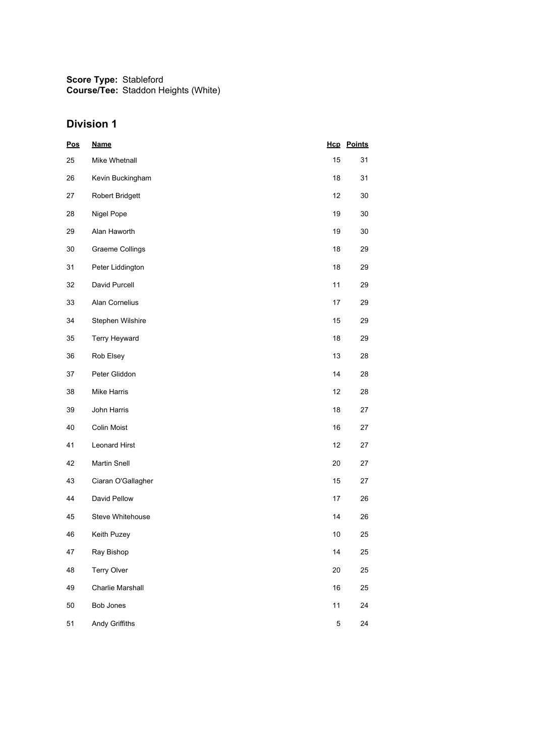| <u>Pos</u> | <b>Name</b>            |             | <b>Hcp</b> Points |
|------------|------------------------|-------------|-------------------|
| 25         | Mike Whetnall          | 15          | 31                |
| 26         | Kevin Buckingham       | 18          | 31                |
| 27         | <b>Robert Bridgett</b> | 12          | 30                |
| 28         | Nigel Pope             | 19          | 30                |
| 29         | Alan Haworth           | 19          | 30                |
| 30         | <b>Graeme Collings</b> | 18          | 29                |
| 31         | Peter Liddington       | 18          | 29                |
| 32         | David Purcell          | 11          | 29                |
| 33         | Alan Cornelius         | 17          | 29                |
| 34         | Stephen Wilshire       | 15          | 29                |
| 35         | Terry Heyward          | 18          | 29                |
| 36         | Rob Elsey              | 13          | 28                |
| 37         | Peter Gliddon          | 14          | 28                |
| 38         | <b>Mike Harris</b>     | 12          | 28                |
| 39         | John Harris            | 18          | 27                |
| 40         | Colin Moist            | 16          | 27                |
| 41         | <b>Leonard Hirst</b>   | 12          | 27                |
| 42         | <b>Martin Snell</b>    | 20          | 27                |
| 43         | Ciaran O'Gallagher     | 15          | 27                |
| 44         | David Pellow           | 17          | 26                |
| 45         | Steve Whitehouse       | 14          | 26                |
| 46         | Keith Puzey            | 10          | 25                |
| 47         | Ray Bishop             | 14          | 25                |
| 48         | Terry Olver            | 20          | 25                |
| 49         | Charlie Marshall       | 16          | 25                |
| 50         | Bob Jones              | 11          | 24                |
| 51         | Andy Griffiths         | $\mathbf 5$ | 24                |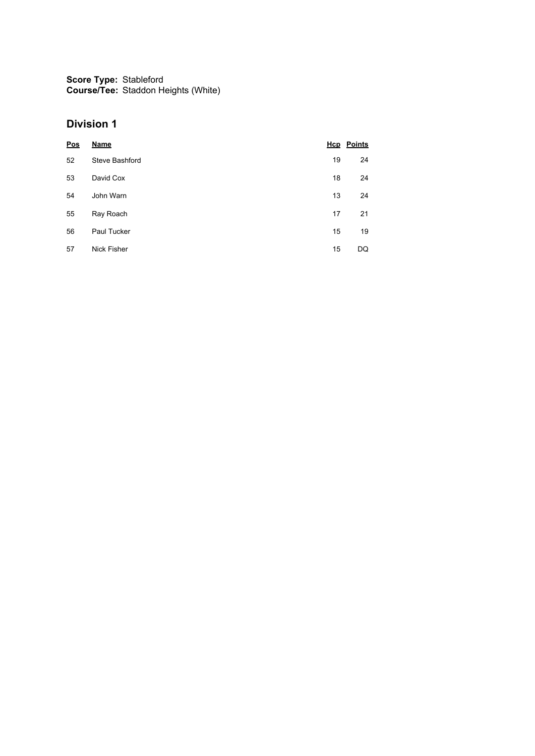| Pos | <b>Name</b>        |    | <b>Hcp</b> Points |
|-----|--------------------|----|-------------------|
| 52  | Steve Bashford     | 19 | 24                |
| 53  | David Cox          | 18 | 24                |
| 54  | John Warn          | 13 | 24                |
| 55  | Ray Roach          | 17 | 21                |
| 56  | Paul Tucker        | 15 | 19                |
| 57  | <b>Nick Fisher</b> | 15 | DQ                |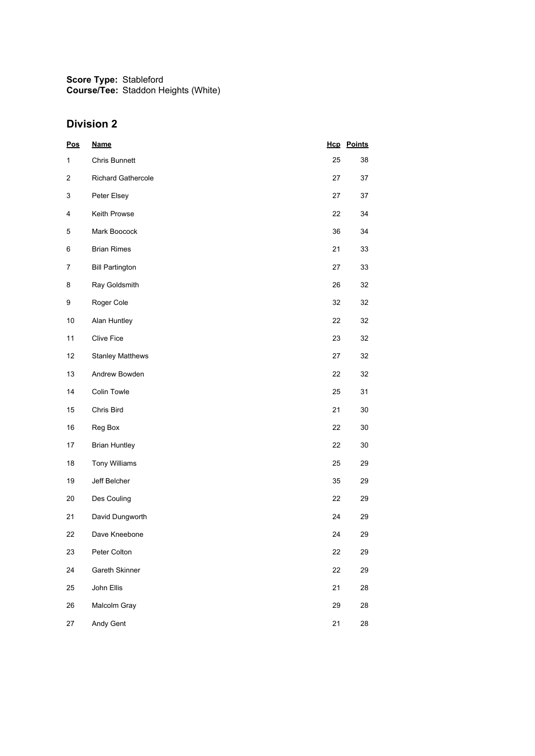| Pos            | <b>Name</b>               |    | <b>Hcp</b> Points |
|----------------|---------------------------|----|-------------------|
| $\mathbf{1}$   | Chris Bunnett             | 25 | 38                |
| $\overline{c}$ | <b>Richard Gathercole</b> | 27 | 37                |
| 3              | Peter Elsey               | 27 | 37                |
| 4              | Keith Prowse              | 22 | 34                |
| 5              | Mark Boocock              | 36 | 34                |
| 6              | <b>Brian Rimes</b>        | 21 | 33                |
| 7              | <b>Bill Partington</b>    | 27 | 33                |
| 8              | Ray Goldsmith             | 26 | 32                |
| 9              | Roger Cole                | 32 | 32                |
| 10             | Alan Huntley              | 22 | 32                |
| 11             | Clive Fice                | 23 | 32                |
| 12             | <b>Stanley Matthews</b>   | 27 | 32                |
| 13             | Andrew Bowden             | 22 | 32                |
| 14             | Colin Towle               | 25 | 31                |
| 15             | Chris Bird                | 21 | $30\,$            |
| 16             | Reg Box                   | 22 | 30                |
| 17             | <b>Brian Huntley</b>      | 22 | 30                |
| 18             | <b>Tony Williams</b>      | 25 | 29                |
| 19             | Jeff Belcher              | 35 | 29                |
| 20             | Des Couling               | 22 | 29                |
| 21             | David Dungworth           | 24 | 29                |
| 22             | Dave Kneebone             | 24 | 29                |
| 23             | Peter Colton              | 22 | 29                |
| 24             | Gareth Skinner            | 22 | 29                |
| 25             | John Ellis                | 21 | 28                |
| 26             | Malcolm Gray              | 29 | 28                |
| 27             | Andy Gent                 | 21 | 28                |